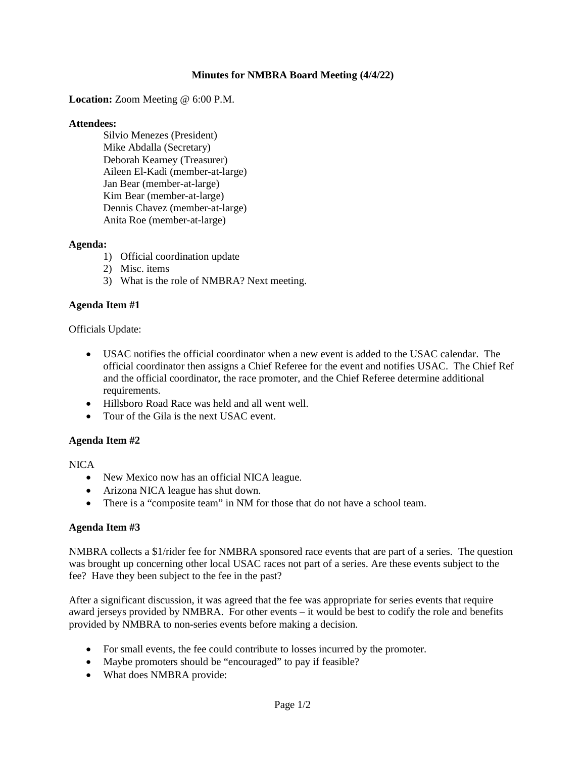# **Minutes for NMBRA Board Meeting (4/4/22)**

## **Location:** Zoom Meeting @ 6:00 P.M.

## **Attendees:**

Silvio Menezes (President) Mike Abdalla (Secretary) Deborah Kearney (Treasurer) Aileen El-Kadi (member-at-large) Jan Bear (member-at-large) Kim Bear (member-at-large) Dennis Chavez (member-at-large) Anita Roe (member-at-large)

## **Agenda:**

- 1) Official coordination update
- 2) Misc. items
- 3) What is the role of NMBRA? Next meeting.

## **Agenda Item #1**

## Officials Update:

- USAC notifies the official coordinator when a new event is added to the USAC calendar. The official coordinator then assigns a Chief Referee for the event and notifies USAC. The Chief Ref and the official coordinator, the race promoter, and the Chief Referee determine additional requirements.
- Hillsboro Road Race was held and all went well.
- Tour of the Gila is the next USAC event.

## **Agenda Item #2**

## NICA

- New Mexico now has an official NICA league.
- Arizona NICA league has shut down.
- There is a "composite team" in NM for those that do not have a school team.

## **Agenda Item #3**

NMBRA collects a \$1/rider fee for NMBRA sponsored race events that are part of a series. The question was brought up concerning other local USAC races not part of a series. Are these events subject to the fee? Have they been subject to the fee in the past?

After a significant discussion, it was agreed that the fee was appropriate for series events that require award jerseys provided by NMBRA. For other events – it would be best to codify the role and benefits provided by NMBRA to non-series events before making a decision.

- For small events, the fee could contribute to losses incurred by the promoter.
- Maybe promoters should be "encouraged" to pay if feasible?
- What does NMBRA provide: